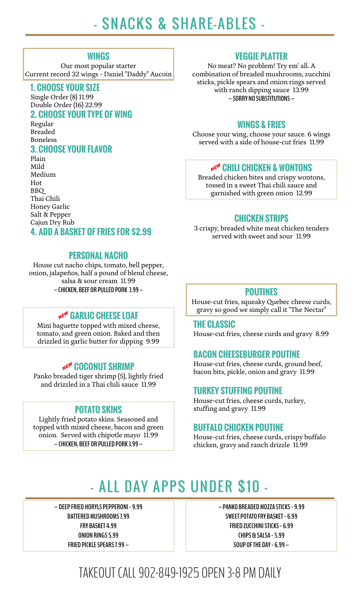# - SNACKS & SHARE-ABLES -

#### **WINGS**

Our most popular starter Current record 32 wings - Daniel "Daddy" Aucoin

#### **1. CHOOSE YOUR SIZE**

Single Order (8) 11.99 Double Order (16) 22.99 **2. CHOOSE YOUR TYPE OF WING**

Regular Breaded Boneless

# **3. CHOOSE YOUR FLAVOR**

Plain Mild Medium Hot BBQ Thai Chili Honey Garlic Salt & Pepper Cajun Dry Rub **CHICKEN STRIPS**

### **PERSONAL NACHO**

House cut nacho chips, tomato, bell pepper, onion, jalapeños, half a pound of blend cheese, salsa & sour cream 11.99 **– CHICKEN, BEEF OR PULLED PORK 3.99 –**

# A **GARLIC CHEESE LOAF**

Mini baguette topped with mixed cheese, tomato, and green onion. Baked and then drizzled in garlic butter for dipping 9.99

Panko breaded tiger shrimp (5), lightly fried and drizzled in a Thai chili sauce 11.99

Lightly fried potato skins. Seasoned and topped with mixed cheese, bacon and green onion. Served with chipotle mayo 11.99 **– CHICKEN, BEEF OR PULLED PORK 3.99 –**

# **VEGGIE PLATTER**

No meat? No problem! Try em' all. A combination of breaded mushrooms, zucchini sticks, pickle spears and onion rings served with ranch dipping sauce 13.99 **– SORRY NO SUBSTITUTIONS –**

#### **WINGS & FRIES**

Choose your wing, choose your sauce. 6 wings served with a side of house-cut fries 11.99

### A **CHILI CHICKEN & WONTONS**

Breaded chicken bites and crispy wontons, tossed in a sweet Thai chili sauce and garnished with green onion 12.99

3 crispy, breaded white meat chicken tenders served with sweet and sour 11.99 **4. ADD A BASKET OF FRIES FOR \$2.99**

### **POUTINES**

House-cut fries, squeaky Quebec cheese curds, gravy so good we simply call it "The Nectar"

#### **THE CLASSIC**

House-cut fries, cheese curds and gravy 8.99

#### **BACON CHEESEBURGER POUTINE**

**He<sup>w</sup> COCONUT SHRIMP** House-cut fries, cheese curds, ground beef, bacon bits, pickle, onion and gravy 11.99

#### **TURKEY STUFFING POUTINE**

House-cut fries, cheese curds, turkey, **POTATO SKINS** stuffing and gravy 11.99

#### **BUFFALO CHICKEN POUTINE**

House-cut fries, cheese curds, crispy buffalo chicken, gravy and ranch drizzle 11.99

# - ALL DAY APPS UNDER \$10 -

**– DEEP FRIED HORYLS PEPPERONI - 9.99 BATTERED MUSHROOMS 7.99 FRY BASKET 4.99 ONION RINGS 5.99 FRIED PICKLE SPEARS 7.99 –**

**– PANKO BREADED MOZZA STICKS - 9.99 SWEET POTATO FRY BASKET - 6.99 FRIED ZUCCHINI STICKS - 6.99 CHIPS & SALSA - 5.99 SOUP OF THE DAY - 6.99 –**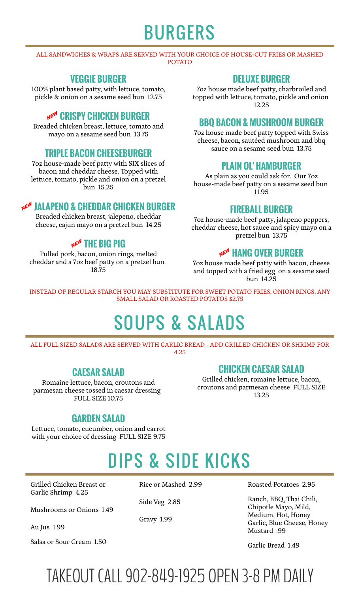# BURGERS

#### ALL SANDWICHES & WRAPS ARE SERVED WITH YOUR CHOICE OF HOUSE-CUT FRIES OR MASHED POTATO

# **VEGGIE BURGER**

100% plant based patty, with lettuce, tomato, pickle & onion on a sesame seed bun 12.75

### A **CRISPY CHICKEN BURGER**

Breaded chicken breast, lettuce, tomato and mayo on a sesame seed bun 13.75

# sauce on a sesame seed bun 13.75 **TRIPLE BACON CHEESEBURGER**

7oz house-made beef patty with SIX slices of bacon and cheddar cheese. Topped with lettuce, tomato, pickle and onion on a pretzel bun 15.25

# A **JALAPENO & CHEDDAR CHICKEN BURGER**

Breaded chicken breast, jalepeno, cheddar cheese, cajun mayo on a pretzel bun 14.25

# **NEW THE BIG PIG**

Pulled pork, bacon, onion rings, melted cheddar and a 7oz beef patty on a pretzel bun. 18.75

# **DELUXE BURGER**

7oz house made beef patty, charbroiled and topped with lettuce, tomato, pickle and onion 12.25

### **BBQ BACON & MUSHROOM BURGER**

7oz house made beef patty topped with Swiss cheese, bacon, sautéed mushroom and bbq

### **PLAIN OL' HAMBURGER**

As plain as you could ask for. Our 7oz house-made beef patty on a sesame seed bun 11.95

### **FIREBALL BURGER**

7oz house-made beef patty, jalapeno peppers, cheddar cheese, hot sauce and spicy mayo on a pretzel bun 13.75

# A **HANG OVER BURGER**

7oz house made beef patty with bacon, cheese and topped with a fried egg on a sesame seed bun 14.25

INSTEAD OF REGULAR STARCH YOU MAY SUBSTITUTE FOR SWEET POTATO FRIES, ONION RINGS, ANY SMALL SALAD OR ROASTED POTATOS \$2.75

# SOUPS & SALADS

ALL FULL SIZED SALADS ARE SERVED WITH GARLIC BREAD - ADD GRILLED CHICKEN OR SHRIMP FOR 4.25

# **CAESAR SALAD**

Romaine lettuce, bacon, croutons and parmesan cheese tossed in caesar dressing FULL SIZE 10.75

# **CHICKEN CAESAR SALAD**

Grilled chicken, romaine lettuce, bacon, croutons and parmesan cheese FULL SIZE 13.25

### **GARDEN SALAD**

Lettuce, tomato, cucumber, onion and carrot with your choice of dressing FULL SIZE 9.75

# DIPS & SIDE KICKS

Grilled Chicken Breast or Garlic Shrimp 4.25

Mushrooms or Onions 1.49

Salsa or Sour Cream 1.50 Salsa or Sour Cream 1.50

Gravy 1.99

Rice or Mashed 2.99 Roasted Potatoes 2.95

Side Veg 2.85 Ranch, BBQ, Thai Chili, Chipotle Mayo, Mild, Medium, Hot, Honey Garlic, Blue Cheese, Honey<br>Mustard .99 Au Jus 1.99 Au Jus 1.99 Au Jus 1.99 Au Jus 1.99 Au Jus 1.99 Au Jus 1.99 Au Jus 1.99 Au Jus 1.99 Au Jus 1.99 Au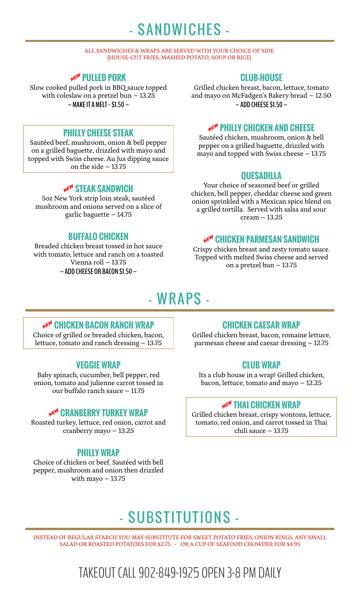# - SANDWICHES -

#### ALL SANDWICHES & WRAPS ARE SERVED WITH YOUR CHOICE OF SIDE (HOUSE-CUT FRIES, MASHED POTATO, SOUP OR RICE)

# A **PULLED PORK**

Slow cooked pulled pork in BBQ sauce topped with coleslaw on a pretzel bun – 13.25 **– MAKE IT A MELT - \$1.50 –**

### **PHILLY CHEESE STEAK**

Sautéed beef, mushroom, onion & bell pepper on a grilled baguette, drizzled with mayo and topped with Swiss cheese. Au Jus dipping sauce on the side – 13.75

#### **NEW STEAK SANDWICH**

5oz New York strip loin steak, sautéed mushroom and onions served on a slice of garlic baguette – 14.75

### **BUFFALO CHICKEN**

Breaded chicken breast tossed in hot sauce with tomato, lettuce and ranch on a toasted Vienna roll – 13.75 **– ADD CHEESE OR BACON \$1.50 –**

# **CLUB-HOUSE**

Grilled chicken breast, bacon, lettuce, tomato and mayo on McFadgen's Bakery bread – 12.50 **– ADD CHEESE \$1.50 –**

#### A **PHILLY CHICKEN AND CHEESE**

Sautéed chicken, mushroom, onion & bell pepper on a grilled baguette, drizzled with mayo and topped with Swiss cheese – 13.75

#### **QUESADILLA**

Your choice of seasoned beef or grilled chicken, bell pepper, cheddar cheese and green onion sprinkled with a Mexican spice blend on a grilled tortilla. Served with salsa and sour cream – 13.25

#### A **CHICKEN PARMESAN SANDWICH**

Crispy chicken breast and zesty tomato sauce. Topped with melted Swiss cheese and served on a pretzel bun – 13.75

# - WRAPS -

### A **CHICKEN BACON RANCH WRAP**

Choice of grilled or breaded chicken, bacon, lettuce, tomato and ranch dressing – 13.75

### **VEGGIE WRAP**

Baby spinach, cucumber, bell pepper, red onion, tomato and julienne carrot tossed in our buffalo ranch sauce – 11.75

#### **NEW CRANBERRY TURKEY WRAP**

Roasted turkey, lettuce, red onion, carrot and cranberry mayo – 13.25

### **PHILLY WRAP**

Choice of chicken or beef. Sautéed with bell pepper, mushroom and onion then drizzled with mayo – 13.75

### **CHICKEN CAESAR WRAP**

Grilled chicken breast, bacon, romaine lettuce, parmesan cheese and caesar dressing – 12.75

### **CLUB WRAP**

Its a club house in a wrap! Grilled chicken, bacon, lettuce, tomato and mayo – 12.25

#### A **THAI CHICKEN WRAP**

Grilled chicken breast, crispy wontons, lettuce, tomato, red onion, and carrot tossed in Thai chili sauce – 13.75

# - SUBSTITUTIONS -

INSTEAD OF REGULAR STARCH YOU MAY SUBSTITUTE FOR SWEET POTATO FRIES, ONION RINGS, ANY SMALL SALAD OR ROASTED POTATOES FOR \$2.75 . - OR A CUP OF SEAFOOD CHOWDER FOR \$4.95